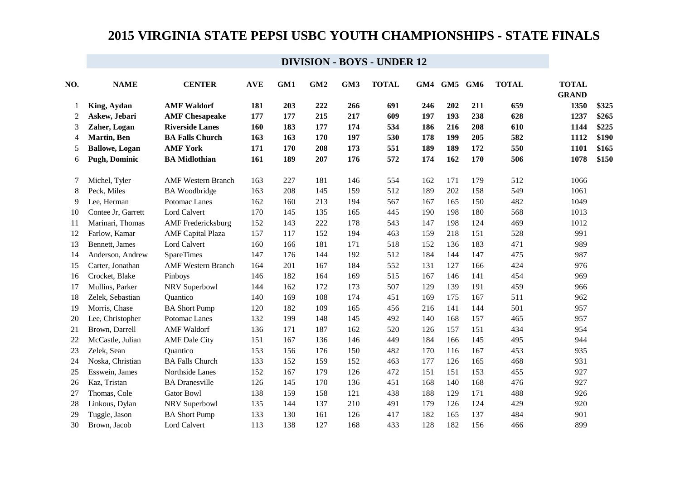| NO.            | <b>NAME</b>           | <b>CENTER</b>             | <b>AVE</b> | GM1 | GM <sub>2</sub> | GM3 | <b>TOTAL</b> |     | GM4 GM5 GM6 |     | <b>TOTAL</b> | <b>TOTAL</b><br><b>GRAND</b> |       |
|----------------|-----------------------|---------------------------|------------|-----|-----------------|-----|--------------|-----|-------------|-----|--------------|------------------------------|-------|
|                | King, Aydan           | <b>AMF Waldorf</b>        | 181        | 203 | 222             | 266 | 691          | 246 | 202         | 211 | 659          | 1350                         | \$325 |
| 2              | Askew, Jebari         | <b>AMF</b> Chesapeake     | 177        | 177 | 215             | 217 | 609          | 197 | 193         | 238 | 628          | 1237                         | \$265 |
| 3              | Zaher, Logan          | <b>Riverside Lanes</b>    | 160        | 183 | 177             | 174 | 534          | 186 | 216         | 208 | 610          | 1144                         | \$225 |
| $\overline{4}$ | Martin, Ben           | <b>BA Falls Church</b>    | 163        | 163 | 170             | 197 | 530          | 178 | 199         | 205 | 582          | 1112                         | \$190 |
| 5              | <b>Ballowe, Logan</b> | <b>AMF York</b>           | 171        | 170 | 208             | 173 | 551          | 189 | 189         | 172 | 550          | 1101                         | \$165 |
| 6              | <b>Pugh, Dominic</b>  | <b>BA</b> Midlothian      | 161        | 189 | 207             | 176 | 572          | 174 | 162         | 170 | 506          | 1078                         | \$150 |
| 7              | Michel, Tyler         | <b>AMF Western Branch</b> | 163        | 227 | 181             | 146 | 554          | 162 | 171         | 179 | 512          | 1066                         |       |
| 8              | Peck, Miles           | <b>BA</b> Woodbridge      | 163        | 208 | 145             | 159 | 512          | 189 | 202         | 158 | 549          | 1061                         |       |
| 9              | Lee, Herman           | Potomac Lanes             | 162        | 160 | 213             | 194 | 567          | 167 | 165         | 150 | 482          | 1049                         |       |
| 10             | Contee Jr, Garrett    | Lord Calvert              | 170        | 145 | 135             | 165 | 445          | 190 | 198         | 180 | 568          | 1013                         |       |
| 11             | Marinari, Thomas      | <b>AMF</b> Fredericksburg | 152        | 143 | 222             | 178 | 543          | 147 | 198         | 124 | 469          | 1012                         |       |
| 12             | Farlow, Kamar         | <b>AMF</b> Capital Plaza  | 157        | 117 | 152             | 194 | 463          | 159 | 218         | 151 | 528          | 991                          |       |
| 13             | Bennett, James        | Lord Calvert              | 160        | 166 | 181             | 171 | 518          | 152 | 136         | 183 | 471          | 989                          |       |
| 14             | Anderson, Andrew      | <b>SpareTimes</b>         | 147        | 176 | 144             | 192 | 512          | 184 | 144         | 147 | 475          | 987                          |       |
| 15             | Carter, Jonathan      | <b>AMF Western Branch</b> | 164        | 201 | 167             | 184 | 552          | 131 | 127         | 166 | 424          | 976                          |       |
| 16             | Crocket, Blake        | Pinboys                   | 146        | 182 | 164             | 169 | 515          | 167 | 146         | 141 | 454          | 969                          |       |
| 17             | Mullins, Parker       | NRV Superbowl             | 144        | 162 | 172             | 173 | 507          | 129 | 139         | 191 | 459          | 966                          |       |
| 18             | Zelek, Sebastian      | Quantico                  | 140        | 169 | 108             | 174 | 451          | 169 | 175         | 167 | 511          | 962                          |       |
| 19             | Morris, Chase         | <b>BA Short Pump</b>      | 120        | 182 | 109             | 165 | 456          | 216 | 141         | 144 | 501          | 957                          |       |
| 20             | Lee, Christopher      | Potomac Lanes             | 132        | 199 | 148             | 145 | 492          | 140 | 168         | 157 | 465          | 957                          |       |
| 21             | Brown, Darrell        | <b>AMF</b> Waldorf        | 136        | 171 | 187             | 162 | 520          | 126 | 157         | 151 | 434          | 954                          |       |
| 22             | McCastle, Julian      | <b>AMF</b> Dale City      | 151        | 167 | 136             | 146 | 449          | 184 | 166         | 145 | 495          | 944                          |       |
| 23             | Zelek, Sean           | Quantico                  | 153        | 156 | 176             | 150 | 482          | 170 | 116         | 167 | 453          | 935                          |       |
| 24             | Noska, Christian      | <b>BA Falls Church</b>    | 133        | 152 | 159             | 152 | 463          | 177 | 126         | 165 | 468          | 931                          |       |
| 25             | Esswein, James        | Northside Lanes           | 152        | 167 | 179             | 126 | 472          | 151 | 151         | 153 | 455          | 927                          |       |
| 26             | Kaz, Tristan          | <b>BA</b> Dranesville     | 126        | 145 | 170             | 136 | 451          | 168 | 140         | 168 | 476          | 927                          |       |
| 27             | Thomas, Cole          | <b>Gator Bowl</b>         | 138        | 159 | 158             | 121 | 438          | 188 | 129         | 171 | 488          | 926                          |       |
| 28             | Linkous, Dylan        | NRV Superbowl             | 135        | 144 | 137             | 210 | 491          | 179 | 126         | 124 | 429          | 920                          |       |
| 29             | Tuggle, Jason         | <b>BA Short Pump</b>      | 133        | 130 | 161             | 126 | 417          | 182 | 165         | 137 | 484          | 901                          |       |
| 30             | Brown, Jacob          | Lord Calvert              | 113        | 138 | 127             | 168 | 433          | 128 | 182         | 156 | 466          | 899                          |       |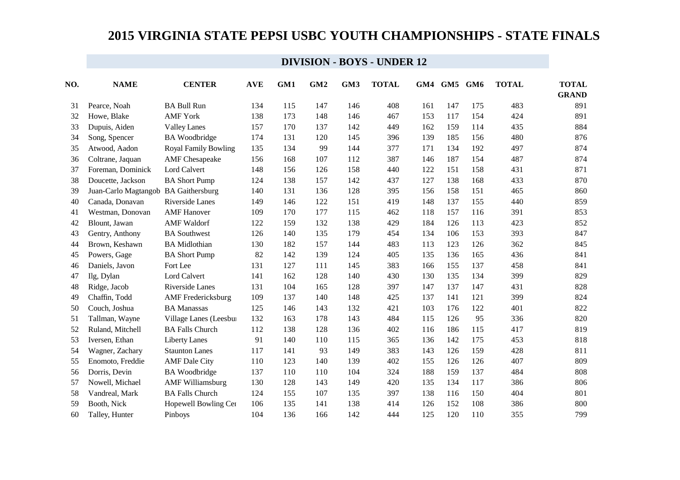| NO. | <b>NAME</b>                          | <b>CENTER</b>               | <b>AVE</b> | GM1 | GM <sub>2</sub> | GM <sub>3</sub> | <b>TOTAL</b> |     | GM4 GM5 GM6 |     | <b>TOTAL</b> | <b>TOTAL</b><br><b>GRAND</b> |
|-----|--------------------------------------|-----------------------------|------------|-----|-----------------|-----------------|--------------|-----|-------------|-----|--------------|------------------------------|
| 31  | Pearce, Noah                         | <b>BA Bull Run</b>          | 134        | 115 | 147             | 146             | 408          | 161 | 147         | 175 | 483          | 891                          |
| 32  | Howe, Blake                          | <b>AMF York</b>             | 138        | 173 | 148             | 146             | 467          | 153 | 117         | 154 | 424          | 891                          |
| 33  | Dupuis, Aiden                        | <b>Valley Lanes</b>         | 157        | 170 | 137             | 142             | 449          | 162 | 159         | 114 | 435          | 884                          |
| 34  | Song, Spencer                        | <b>BA</b> Woodbridge        | 174        | 131 | 120             | 145             | 396          | 139 | 185         | 156 | 480          | 876                          |
| 35  | Atwood, Aadon                        | <b>Royal Family Bowling</b> | 135        | 134 | 99              | 144             | 377          | 171 | 134         | 192 | 497          | 874                          |
| 36  | Coltrane, Jaquan                     | <b>AMF</b> Chesapeake       | 156        | 168 | 107             | 112             | 387          | 146 | 187         | 154 | 487          | 874                          |
| 37  | Foreman, Dominick                    | Lord Calvert                | 148        | 156 | 126             | 158             | 440          | 122 | 151         | 158 | 431          | 871                          |
| 38  | Doucette, Jackson                    | <b>BA Short Pump</b>        | 124        | 138 | 157             | 142             | 437          | 127 | 138         | 168 | 433          | 870                          |
| 39  | Juan-Carlo Magtangob BA Gaithersburg |                             | 140        | 131 | 136             | 128             | 395          | 156 | 158         | 151 | 465          | 860                          |
| 40  | Canada, Donavan                      | Riverside Lanes             | 149        | 146 | 122             | 151             | 419          | 148 | 137         | 155 | 440          | 859                          |
| 41  | Westman, Donovan                     | <b>AMF</b> Hanover          | 109        | 170 | 177             | 115             | 462          | 118 | 157         | 116 | 391          | 853                          |
| 42  | Blount, Jawan                        | <b>AMF</b> Waldorf          | 122        | 159 | 132             | 138             | 429          | 184 | 126         | 113 | 423          | 852                          |
| 43  | Gentry, Anthony                      | <b>BA Southwest</b>         | 126        | 140 | 135             | 179             | 454          | 134 | 106         | 153 | 393          | 847                          |
| 44  | Brown, Keshawn                       | <b>BA</b> Midlothian        | 130        | 182 | 157             | 144             | 483          | 113 | 123         | 126 | 362          | 845                          |
| 45  | Powers, Gage                         | <b>BA Short Pump</b>        | 82         | 142 | 139             | 124             | 405          | 135 | 136         | 165 | 436          | 841                          |
| 46  | Daniels, Javon                       | Fort Lee                    | 131        | 127 | 111             | 145             | 383          | 166 | 155         | 137 | 458          | 841                          |
| 47  | Ilg, Dylan                           | Lord Calvert                | 141        | 162 | 128             | 140             | 430          | 130 | 135         | 134 | 399          | 829                          |
| 48  | Ridge, Jacob                         | Riverside Lanes             | 131        | 104 | 165             | 128             | 397          | 147 | 137         | 147 | 431          | 828                          |
| 49  | Chaffin, Todd                        | <b>AMF</b> Fredericksburg   | 109        | 137 | 140             | 148             | 425          | 137 | 141         | 121 | 399          | 824                          |
| 50  | Couch, Joshua                        | <b>BA Manassas</b>          | 125        | 146 | 143             | 132             | 421          | 103 | 176         | 122 | 401          | 822                          |
| 51  | Tallman, Wayne                       | Village Lanes (Leesbur      | 132        | 163 | 178             | 143             | 484          | 115 | 126         | 95  | 336          | 820                          |
| 52  | Ruland, Mitchell                     | <b>BA Falls Church</b>      | 112        | 138 | 128             | 136             | 402          | 116 | 186         | 115 | 417          | 819                          |
| 53  | Iversen, Ethan                       | <b>Liberty Lanes</b>        | 91         | 140 | 110             | 115             | 365          | 136 | 142         | 175 | 453          | 818                          |
| 54  | Wagner, Zachary                      | <b>Staunton Lanes</b>       | 117        | 141 | 93              | 149             | 383          | 143 | 126         | 159 | 428          | 811                          |
| 55  | Enomoto, Freddie                     | <b>AMF</b> Dale City        | 110        | 123 | 140             | 139             | 402          | 155 | 126         | 126 | 407          | 809                          |
| 56  | Dorris, Devin                        | <b>BA</b> Woodbridge        | 137        | 110 | 110             | 104             | 324          | 188 | 159         | 137 | 484          | 808                          |
| 57  | Nowell, Michael                      | <b>AMF Williamsburg</b>     | 130        | 128 | 143             | 149             | 420          | 135 | 134         | 117 | 386          | 806                          |
| 58  | Vandreal, Mark                       | <b>BA Falls Church</b>      | 124        | 155 | 107             | 135             | 397          | 138 | 116         | 150 | 404          | 801                          |
| 59  | Booth, Nick                          | Hopewell Bowling Cer        | 106        | 135 | 141             | 138             | 414          | 126 | 152         | 108 | 386          | 800                          |
| 60  | Talley, Hunter                       | Pinboys                     | 104        | 136 | 166             | 142             | 444          | 125 | 120         | 110 | 355          | 799                          |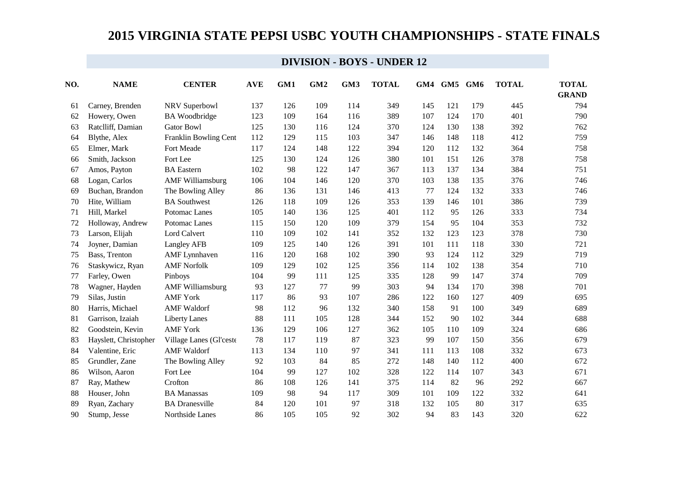| NO. | <b>NAME</b>           | <b>CENTER</b>           | <b>AVE</b> | GM1 | GM <sub>2</sub> | GM3 | <b>TOTAL</b> |     | GM4 GM5 GM6 |     | <b>TOTAL</b> | <b>TOTAL</b><br><b>GRAND</b> |
|-----|-----------------------|-------------------------|------------|-----|-----------------|-----|--------------|-----|-------------|-----|--------------|------------------------------|
| 61  | Carney, Brenden       | NRV Superbowl           | 137        | 126 | 109             | 114 | 349          | 145 | 121         | 179 | 445          | 794                          |
| 62  | Howery, Owen          | <b>BA</b> Woodbridge    | 123        | 109 | 164             | 116 | 389          | 107 | 124         | 170 | 401          | 790                          |
| 63  | Ratclliff, Damian     | <b>Gator Bowl</b>       | 125        | 130 | 116             | 124 | 370          | 124 | 130         | 138 | 392          | 762                          |
| 64  | Blythe, Alex          | Franklin Bowling Cent   | 112        | 129 | 115             | 103 | 347          | 146 | 148         | 118 | 412          | 759                          |
| 65  | Elmer, Mark           | Fort Meade              | 117        | 124 | 148             | 122 | 394          | 120 | 112         | 132 | 364          | 758                          |
| 66  | Smith, Jackson        | Fort Lee                | 125        | 130 | 124             | 126 | 380          | 101 | 151         | 126 | 378          | 758                          |
| 67  | Amos, Payton          | <b>BA</b> Eastern       | 102        | 98  | 122             | 147 | 367          | 113 | 137         | 134 | 384          | 751                          |
| 68  | Logan, Carlos         | <b>AMF Williamsburg</b> | 106        | 104 | 146             | 120 | 370          | 103 | 138         | 135 | 376          | 746                          |
| 69  | Buchan, Brandon       | The Bowling Alley       | 86         | 136 | 131             | 146 | 413          | 77  | 124         | 132 | 333          | 746                          |
| 70  | Hite, William         | <b>BA</b> Southwest     | 126        | 118 | 109             | 126 | 353          | 139 | 146         | 101 | 386          | 739                          |
| 71  | Hill, Markel          | Potomac Lanes           | 105        | 140 | 136             | 125 | 401          | 112 | 95          | 126 | 333          | 734                          |
| 72  | Holloway, Andrew      | Potomac Lanes           | 115        | 150 | 120             | 109 | 379          | 154 | 95          | 104 | 353          | 732                          |
| 73  | Larson, Elijah        | Lord Calvert            | 110        | 109 | 102             | 141 | 352          | 132 | 123         | 123 | 378          | 730                          |
| 74  | Joyner, Damian        | Langley AFB             | 109        | 125 | 140             | 126 | 391          | 101 | 111         | 118 | 330          | 721                          |
| 75  | Bass, Trenton         | <b>AMF</b> Lynnhaven    | 116        | 120 | 168             | 102 | 390          | 93  | 124         | 112 | 329          | 719                          |
| 76  | Staskywicz, Ryan      | <b>AMF Norfolk</b>      | 109        | 129 | 102             | 125 | 356          | 114 | 102         | 138 | 354          | 710                          |
| 77  | Farley, Owen          | Pinboys                 | 104        | 99  | 111             | 125 | 335          | 128 | 99          | 147 | 374          | 709                          |
| 78  | Wagner, Hayden        | <b>AMF Williamsburg</b> | 93         | 127 | 77              | 99  | 303          | 94  | 134         | 170 | 398          | 701                          |
| 79  | Silas, Justin         | <b>AMF York</b>         | 117        | 86  | 93              | 107 | 286          | 122 | 160         | 127 | 409          | 695                          |
| 80  | Harris, Michael       | <b>AMF</b> Waldorf      | 98         | 112 | 96              | 132 | 340          | 158 | 91          | 100 | 349          | 689                          |
| 81  | Garrison, Izaiah      | <b>Liberty Lanes</b>    | 88         | 111 | 105             | 128 | 344          | 152 | 90          | 102 | 344          | 688                          |
| 82  | Goodstein, Kevin      | <b>AMF York</b>         | 136        | 129 | 106             | 127 | 362          | 105 | 110         | 109 | 324          | 686                          |
| 83  | Hayslett, Christopher | Village Lanes (Gl'ceste | 78         | 117 | 119             | 87  | 323          | 99  | 107         | 150 | 356          | 679                          |
| 84  | Valentine, Eric       | <b>AMF</b> Waldorf      | 113        | 134 | 110             | 97  | 341          | 111 | 113         | 108 | 332          | 673                          |
| 85  | Grundler, Zane        | The Bowling Alley       | 92         | 103 | 84              | 85  | 272          | 148 | 140         | 112 | 400          | 672                          |
| 86  | Wilson, Aaron         | Fort Lee                | 104        | 99  | 127             | 102 | 328          | 122 | 114         | 107 | 343          | 671                          |
| 87  | Ray, Mathew           | Crofton                 | 86         | 108 | 126             | 141 | 375          | 114 | 82          | 96  | 292          | 667                          |
| 88  | Houser, John          | <b>BA Manassas</b>      | 109        | 98  | 94              | 117 | 309          | 101 | 109         | 122 | 332          | 641                          |
| 89  | Ryan, Zachary         | <b>BA</b> Dranesville   | 84         | 120 | 101             | 97  | 318          | 132 | 105         | 80  | 317          | 635                          |
| 90  | Stump, Jesse          | Northside Lanes         | 86         | 105 | 105             | 92  | 302          | 94  | 83          | 143 | 320          | 622                          |